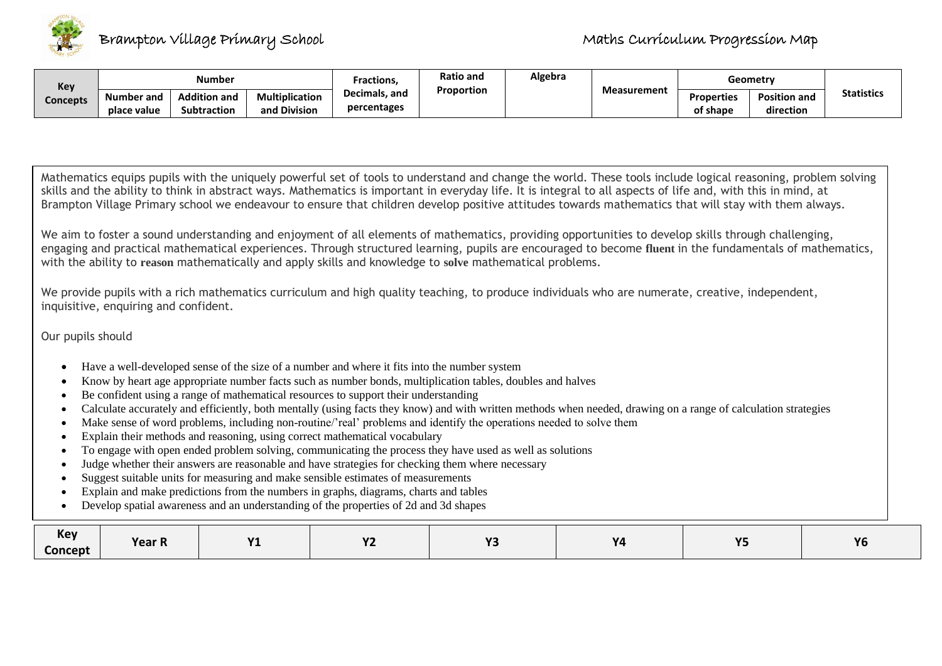

| Key      | <b>Number</b>                    |                                           |                                       | <b>Ratio and</b><br>Fractions |            | Algebra |                    | Geometry                      |                                  |                   |
|----------|----------------------------------|-------------------------------------------|---------------------------------------|-------------------------------|------------|---------|--------------------|-------------------------------|----------------------------------|-------------------|
| Concepts | <b>Number and</b><br>place value | <b>Addition and</b><br><b>Subtraction</b> | <b>Multiplication</b><br>and Division | Decimals, and<br>percentages  | Proportion |         | <b>Measurement</b> | <b>Properties</b><br>of shape | <b>Position and</b><br>direction | <b>Statistics</b> |

Mathematics equips pupils with the uniquely powerful set of tools to understand and change the world. These tools include logical reasoning, problem solving skills and the ability to think in abstract ways. Mathematics is important in everyday life. It is integral to all aspects of life and, with this in mind, at Brampton Village Primary school we endeavour to ensure that children develop positive attitudes towards mathematics that will stay with them always.

We aim to foster a sound understanding and enjoyment of all elements of mathematics, providing opportunities to develop skills through challenging, engaging and practical mathematical experiences. Through structured learning, pupils are encouraged to become **fluent** in the fundamentals of mathematics, with the ability to **reason** mathematically and apply skills and knowledge to **solve** mathematical problems.

We provide pupils with a rich mathematics curriculum and high quality teaching, to produce individuals who are numerate, creative, independent, inquisitive, enquiring and confident.

Our pupils should

- Have a well-developed sense of the size of a number and where it fits into the number system
- Know by heart age appropriate number facts such as number bonds, multiplication tables, doubles and halves
- Be confident using a range of mathematical resources to support their understanding
- Calculate accurately and efficiently, both mentally (using facts they know) and with written methods when needed, drawing on a range of calculation strategies
- Make sense of word problems, including non-routine/'real' problems and identify the operations needed to solve them
- Explain their methods and reasoning, using correct mathematical vocabulary
- To engage with open ended problem solving, communicating the process they have used as well as solutions
- Judge whether their answers are reasonable and have strategies for checking them where necessary
- Suggest suitable units for measuring and make sensible estimates of measurements
- Explain and make predictions from the numbers in graphs, diagrams, charts and tables
- Develop spatial awareness and an understanding of the properties of 2d and 3d shapes

| <b>Key</b><br>Concept | <b>Year R</b> | $\overline{M}$<br>. – | $\mathbf{v}$<br>. – | $\mathbf{v}$ | V <sub>n</sub> | $\mathbf{v}$<br>$-$ | <b>Y6</b> |
|-----------------------|---------------|-----------------------|---------------------|--------------|----------------|---------------------|-----------|
|                       |               |                       |                     |              |                |                     |           |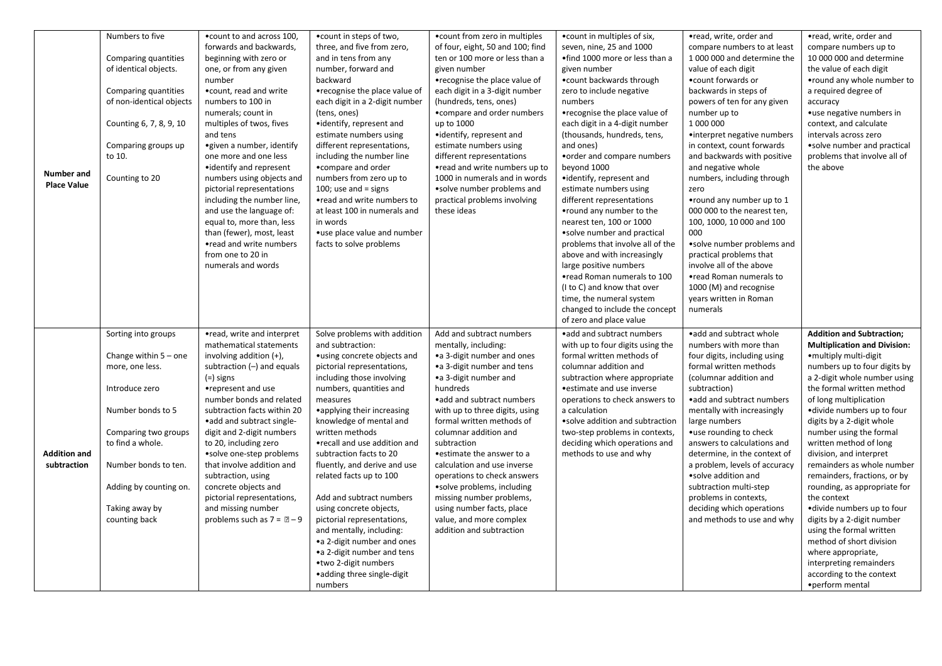|                     | Numbers to five                          | . count to and across 100,                             | • count in steps of two,               | • count from zero in multiples   | • count in multiples of six,                       | •read, write, order and       | •read, write, order and                               |
|---------------------|------------------------------------------|--------------------------------------------------------|----------------------------------------|----------------------------------|----------------------------------------------------|-------------------------------|-------------------------------------------------------|
|                     |                                          | forwards and backwards,                                | three, and five from zero,             | of four, eight, 50 and 100; find | seven, nine, 25 and 1000                           | compare numbers to at least   | compare numbers up to                                 |
|                     | Comparing quantities                     | beginning with zero or                                 | and in tens from any                   | ten or 100 more or less than a   | .find 1000 more or less than a                     | 1 000 000 and determine the   | 10 000 000 and determine                              |
|                     | of identical objects.                    | one, or from any given                                 | number, forward and                    | given number                     | given number                                       | value of each digit           | the value of each digit                               |
|                     |                                          | number                                                 | backward                               | •recognise the place value of    | • count backwards through                          | • count forwards or           | • round any whole number to                           |
|                     | Comparing quantities                     | .count, read and write                                 | •recognise the place value of          | each digit in a 3-digit number   | zero to include negative                           | backwards in steps of         | a required degree of                                  |
|                     | of non-identical objects                 | numbers to 100 in                                      | each digit in a 2-digit number         | (hundreds, tens, ones)           | numbers                                            | powers of ten for any given   | accuracy                                              |
|                     |                                          | numerals; count in                                     | (tens, ones)                           | • compare and order numbers      | •recognise the place value of                      | number up to                  | • use negative numbers in                             |
|                     | Counting 6, 7, 8, 9, 10                  | multiples of twos, fives                               | •identify, represent and               | up to 1000                       | each digit in a 4-digit number                     | 1 000 000                     | context, and calculate                                |
|                     |                                          | and tens                                               | estimate numbers using                 | •identify, represent and         | (thousands, hundreds, tens,                        | •interpret negative numbers   | intervals across zero                                 |
|                     | Comparing groups up                      | • given a number, identify                             | different representations,             | estimate numbers using           | and ones)                                          | in context, count forwards    | .solve number and practical                           |
|                     | to 10.                                   | one more and one less                                  | including the number line              | different representations        | • order and compare numbers                        | and backwards with positive   | problems that involve all of                          |
|                     |                                          | • identify and represent                               | •compare and order                     | •read and write numbers up to    | beyond 1000                                        | and negative whole            | the above                                             |
| <b>Number</b> and   | Counting to 20                           | numbers using objects and                              | numbers from zero up to                | 1000 in numerals and in words    | •identify, represent and                           | numbers, including through    |                                                       |
| <b>Place Value</b>  |                                          | pictorial representations                              | 100; use and $=$ signs                 | •solve number problems and       | estimate numbers using                             | zero                          |                                                       |
|                     |                                          | including the number line,                             | •read and write numbers to             | practical problems involving     | different representations                          | • round any number up to 1    |                                                       |
|                     |                                          | and use the language of:                               | at least 100 in numerals and           | these ideas                      | • round any number to the                          | 000 000 to the nearest ten,   |                                                       |
|                     |                                          | equal to, more than, less                              | in words                               |                                  | nearest ten, 100 or 1000                           | 100, 1000, 10 000 and 100     |                                                       |
|                     |                                          | than (fewer), most, least                              | •use place value and number            |                                  | • solve number and practical                       | 000                           |                                                       |
|                     |                                          | •read and write numbers                                | facts to solve problems                |                                  | problems that involve all of the                   | • solve number problems and   |                                                       |
|                     |                                          | from one to 20 in                                      |                                        |                                  | above and with increasingly                        | practical problems that       |                                                       |
|                     |                                          | numerals and words                                     |                                        |                                  | large positive numbers                             | involve all of the above      |                                                       |
|                     |                                          |                                                        |                                        |                                  | •read Roman numerals to 100                        | •read Roman numerals to       |                                                       |
|                     |                                          |                                                        |                                        |                                  | (I to C) and know that over                        | 1000 (M) and recognise        |                                                       |
|                     |                                          |                                                        |                                        |                                  | time, the numeral system                           | years written in Roman        |                                                       |
|                     |                                          |                                                        |                                        |                                  | changed to include the concept                     | numerals                      |                                                       |
|                     |                                          |                                                        |                                        |                                  | of zero and place value                            |                               |                                                       |
|                     |                                          |                                                        | Solve problems with addition           | Add and subtract numbers         | • add and subtract numbers                         | • add and subtract whole      | <b>Addition and Subtraction;</b>                      |
|                     | Sorting into groups                      | •read, write and interpret<br>mathematical statements  |                                        |                                  |                                                    |                               |                                                       |
|                     |                                          |                                                        | and subtraction:                       | mentally, including:             | with up to four digits using the                   | numbers with more than        | <b>Multiplication and Division:</b>                   |
|                     | Change within $5$ – one                  | involving addition (+),                                | •using concrete objects and            | •a 3-digit number and ones       | formal written methods of<br>columnar addition and | four digits, including using  | • multiply multi-digit                                |
|                     | more, one less.                          | subtraction $(-)$ and equals                           | pictorial representations,             | •a 3-digit number and tens       |                                                    | formal written methods        | numbers up to four digits by                          |
|                     |                                          | $(=)$ signs                                            | including those involving              | •a 3-digit number and            | subtraction where appropriate                      | (columnar addition and        | a 2-digit whole number using                          |
|                     | Introduce zero                           | •represent and use                                     | numbers, quantities and                | hundreds                         | • estimate and use inverse                         | subtraction)                  | the formal written method                             |
|                     |                                          | number bonds and related                               | measures                               | •add and subtract numbers        | operations to check answers to                     | • add and subtract numbers    | of long multiplication                                |
|                     | Number bonds to 5                        | subtraction facts within 20                            | • applying their increasing            | with up to three digits, using   | a calculation                                      | mentally with increasingly    | •divide numbers up to four                            |
|                     |                                          | • add and subtract single-                             | knowledge of mental and                | formal written methods of        | • solve addition and subtraction                   | large numbers                 | digits by a 2-digit whole                             |
|                     | Comparing two groups<br>to find a whole. | digit and 2-digit numbers                              | written methods                        | columnar addition and            | two-step problems in contexts,                     | • use rounding to check       | number using the formal                               |
| <b>Addition and</b> |                                          | to 20, including zero                                  | •recall and use addition and           | subtraction                      | deciding which operations and                      | answers to calculations and   | written method of long                                |
| subtraction         |                                          | • solve one-step problems<br>that involve addition and | subtraction facts to 20                | • estimate the answer to a       | methods to use and why                             | determine, in the context of  | division, and interpret<br>remainders as whole number |
|                     | Number bonds to ten.                     |                                                        | fluently, and derive and use           | calculation and use inverse      |                                                    | a problem, levels of accuracy |                                                       |
|                     |                                          | subtraction, using                                     | related facts up to 100                | operations to check answers      |                                                    | • solve addition and          | remainders, fractions, or by                          |
|                     | Adding by counting on.                   | concrete objects and                                   |                                        | •solve problems, including       |                                                    | subtraction multi-step        | rounding, as appropriate for                          |
|                     |                                          | pictorial representations,                             | Add and subtract numbers               | missing number problems,         |                                                    | problems in contexts,         | the context                                           |
|                     | Taking away by                           | and missing number                                     | using concrete objects,                | using number facts, place        |                                                    | deciding which operations     | ·divide numbers up to four                            |
|                     | counting back                            | problems such as $7 = 2 - 9$                           | pictorial representations,             | value, and more complex          |                                                    | and methods to use and why    | digits by a 2-digit number                            |
|                     |                                          |                                                        | and mentally, including:               | addition and subtraction         |                                                    |                               | using the formal written                              |
|                     |                                          |                                                        | •a 2-digit number and ones             |                                  |                                                    |                               | method of short division                              |
|                     |                                          |                                                        | •a 2-digit number and tens             |                                  |                                                    |                               | where appropriate,                                    |
|                     |                                          |                                                        | •two 2-digit numbers                   |                                  |                                                    |                               | interpreting remainders                               |
|                     |                                          |                                                        |                                        |                                  |                                                    |                               |                                                       |
|                     |                                          |                                                        | • adding three single-digit<br>numbers |                                  |                                                    |                               | according to the context<br>• perform mental          |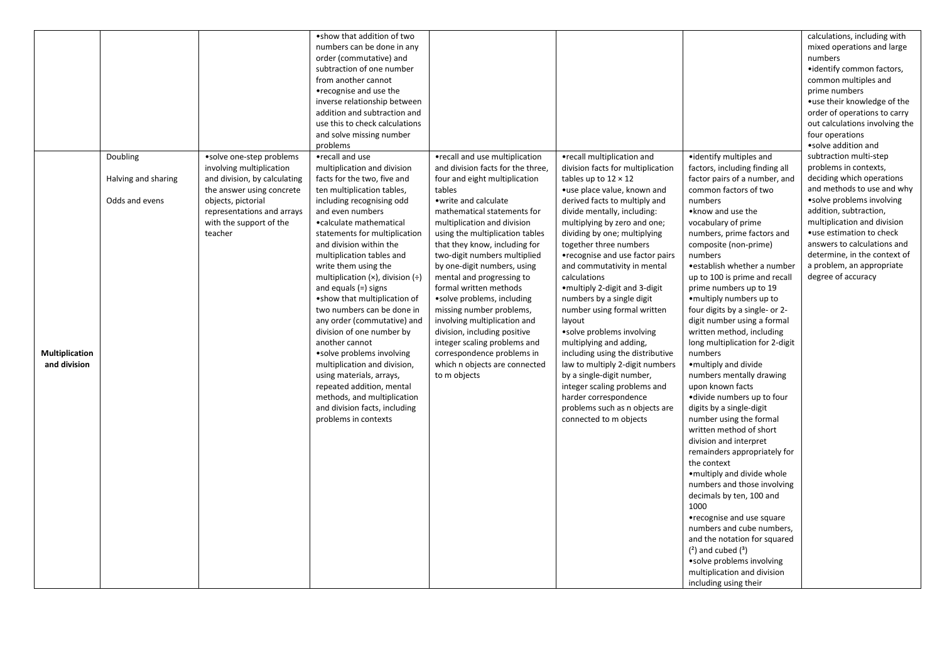|                |                     |                              | .show that addition of two               |                                   |                                   |                                 | calculations, including with   |
|----------------|---------------------|------------------------------|------------------------------------------|-----------------------------------|-----------------------------------|---------------------------------|--------------------------------|
|                |                     |                              | numbers can be done in any               |                                   |                                   |                                 | mixed operations and large     |
|                |                     |                              | order (commutative) and                  |                                   |                                   |                                 | numbers                        |
|                |                     |                              | subtraction of one number                |                                   |                                   |                                 | • identify common factors,     |
|                |                     |                              | from another cannot                      |                                   |                                   |                                 | common multiples and           |
|                |                     |                              | •recognise and use the                   |                                   |                                   |                                 | prime numbers                  |
|                |                     |                              | inverse relationship between             |                                   |                                   |                                 | •use their knowledge of the    |
|                |                     |                              | addition and subtraction and             |                                   |                                   |                                 | order of operations to carry   |
|                |                     |                              | use this to check calculations           |                                   |                                   |                                 | out calculations involving the |
|                |                     |                              | and solve missing number                 |                                   |                                   |                                 | four operations                |
|                |                     |                              | problems                                 |                                   |                                   |                                 | •solve addition and            |
|                | Doubling            | • solve one-step problems    | •recall and use                          | •recall and use multiplication    | •recall multiplication and        | • identify multiples and        | subtraction multi-step         |
|                |                     | involving multiplication     | multiplication and division              | and division facts for the three, | division facts for multiplication | factors, including finding all  | problems in contexts,          |
|                | Halving and sharing | and division, by calculating | facts for the two, five and              | four and eight multiplication     | tables up to $12 \times 12$       | factor pairs of a number, and   | deciding which operations      |
|                |                     | the answer using concrete    | ten multiplication tables,               | tables                            | •use place value, known and       | common factors of two           | and methods to use and why     |
|                | Odds and evens      | objects, pictorial           | including recognising odd                | • write and calculate             | derived facts to multiply and     | numbers                         | • solve problems involving     |
|                |                     | representations and arrays   | and even numbers                         | mathematical statements for       | divide mentally, including:       | • know and use the              | addition, subtraction,         |
|                |                     | with the support of the      | •calculate mathematical                  | multiplication and division       | multiplying by zero and one;      | vocabulary of prime             | multiplication and division    |
|                |                     | teacher                      | statements for multiplication            | using the multiplication tables   | dividing by one; multiplying      | numbers, prime factors and      | • use estimation to check      |
|                |                     |                              | and division within the                  | that they know, including for     | together three numbers            | composite (non-prime)           | answers to calculations and    |
|                |                     |                              | multiplication tables and                | two-digit numbers multiplied      | •recognise and use factor pairs   | numbers                         | determine, in the context of   |
|                |                     |                              | write them using the                     | by one-digit numbers, using       | and commutativity in mental       | • establish whether a number    | a problem, an appropriate      |
|                |                     |                              | multiplication $(x)$ , division $(\div)$ | mental and progressing to         | calculations                      | up to 100 is prime and recall   | degree of accuracy             |
|                |                     |                              | and equals $(=)$ signs                   | formal written methods            | • multiply 2-digit and 3-digit    | prime numbers up to 19          |                                |
|                |                     |                              | .show that multiplication of             | •solve problems, including        | numbers by a single digit         | • multiply numbers up to        |                                |
|                |                     |                              | two numbers can be done in               | missing number problems,          | number using formal written       | four digits by a single- or 2-  |                                |
|                |                     |                              | any order (commutative) and              | involving multiplication and      | layout                            | digit number using a formal     |                                |
|                |                     |                              | division of one number by                | division, including positive      | • solve problems involving        | written method, including       |                                |
|                |                     |                              | another cannot                           | integer scaling problems and      | multiplying and adding,           | long multiplication for 2-digit |                                |
| Multiplication |                     |                              | •solve problems involving                | correspondence problems in        | including using the distributive  | numbers                         |                                |
| and division   |                     |                              | multiplication and division,             | which n objects are connected     | law to multiply 2-digit numbers   | . multiply and divide           |                                |
|                |                     |                              | using materials, arrays,                 | to m objects                      | by a single-digit number,         | numbers mentally drawing        |                                |
|                |                     |                              | repeated addition, mental                |                                   | integer scaling problems and      | upon known facts                |                                |
|                |                     |                              | methods, and multiplication              |                                   | harder correspondence             | • divide numbers up to four     |                                |
|                |                     |                              | and division facts, including            |                                   | problems such as n objects are    | digits by a single-digit        |                                |
|                |                     |                              | problems in contexts                     |                                   | connected to m objects            | number using the formal         |                                |
|                |                     |                              |                                          |                                   |                                   | written method of short         |                                |
|                |                     |                              |                                          |                                   |                                   | division and interpret          |                                |
|                |                     |                              |                                          |                                   |                                   | remainders appropriately for    |                                |
|                |                     |                              |                                          |                                   |                                   | the context                     |                                |
|                |                     |                              |                                          |                                   |                                   | • multiply and divide whole     |                                |
|                |                     |                              |                                          |                                   |                                   | numbers and those involving     |                                |
|                |                     |                              |                                          |                                   |                                   | decimals by ten, 100 and        |                                |
|                |                     |                              |                                          |                                   |                                   | 1000                            |                                |
|                |                     |                              |                                          |                                   |                                   | •recognise and use square       |                                |
|                |                     |                              |                                          |                                   |                                   | numbers and cube numbers,       |                                |
|                |                     |                              |                                          |                                   |                                   | and the notation for squared    |                                |
|                |                     |                              |                                          |                                   |                                   | $(2)$ and cubed $(3)$           |                                |
|                |                     |                              |                                          |                                   |                                   | • solve problems involving      |                                |
|                |                     |                              |                                          |                                   |                                   | multiplication and division     |                                |
|                |                     |                              |                                          |                                   |                                   | including using their           |                                |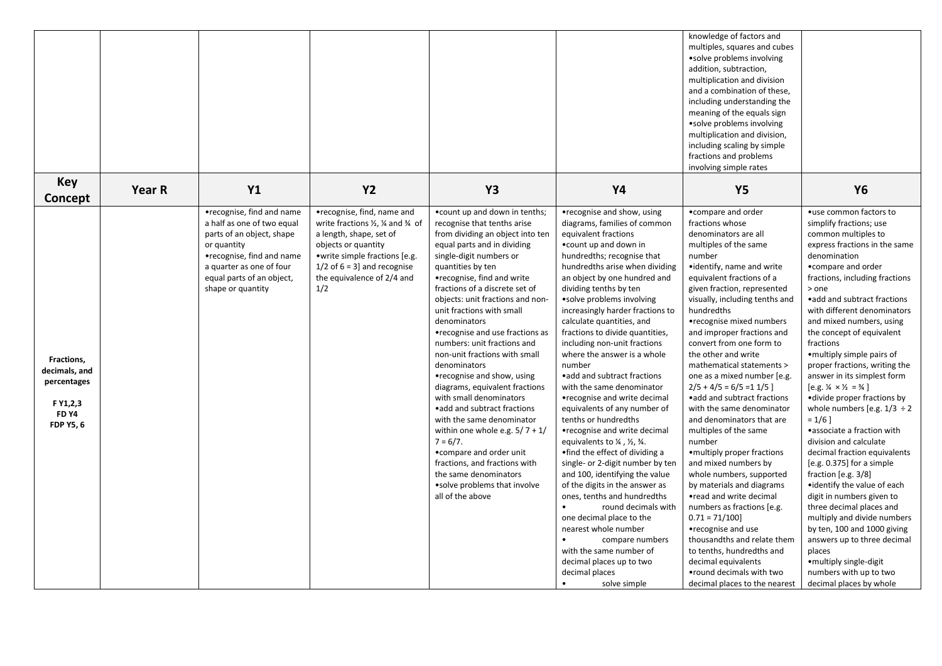|                                                                                                |        |                                                                                                                                                                                                                |                                                                                                                                                                                                                                                             |                                                                                                                                                                                                                                                                                                                                                                                                                                                                                                                                                                                                                                                                                                                                                                                                          |                                                                                                                                                                                                                                                                                                                                                                                                                                                                                                                                                                                                                                                                                                                                                                                                                                                                                                                                                                                                                                                                           | knowledge of factors and<br>multiples, squares and cubes<br>• solve problems involving<br>addition, subtraction,<br>multiplication and division<br>and a combination of these,<br>including understanding the                                                                                                                                                                                                                                                                                                                                                                                                                                                                                                                                                                                                                                                                                                                                   |                                                                                                                                                                                                                                                                                                                                                                                                                                                                                                                                                                                                                                                                                                                                                                                                                                                                                                                                                                                                          |
|------------------------------------------------------------------------------------------------|--------|----------------------------------------------------------------------------------------------------------------------------------------------------------------------------------------------------------------|-------------------------------------------------------------------------------------------------------------------------------------------------------------------------------------------------------------------------------------------------------------|----------------------------------------------------------------------------------------------------------------------------------------------------------------------------------------------------------------------------------------------------------------------------------------------------------------------------------------------------------------------------------------------------------------------------------------------------------------------------------------------------------------------------------------------------------------------------------------------------------------------------------------------------------------------------------------------------------------------------------------------------------------------------------------------------------|---------------------------------------------------------------------------------------------------------------------------------------------------------------------------------------------------------------------------------------------------------------------------------------------------------------------------------------------------------------------------------------------------------------------------------------------------------------------------------------------------------------------------------------------------------------------------------------------------------------------------------------------------------------------------------------------------------------------------------------------------------------------------------------------------------------------------------------------------------------------------------------------------------------------------------------------------------------------------------------------------------------------------------------------------------------------------|-------------------------------------------------------------------------------------------------------------------------------------------------------------------------------------------------------------------------------------------------------------------------------------------------------------------------------------------------------------------------------------------------------------------------------------------------------------------------------------------------------------------------------------------------------------------------------------------------------------------------------------------------------------------------------------------------------------------------------------------------------------------------------------------------------------------------------------------------------------------------------------------------------------------------------------------------|----------------------------------------------------------------------------------------------------------------------------------------------------------------------------------------------------------------------------------------------------------------------------------------------------------------------------------------------------------------------------------------------------------------------------------------------------------------------------------------------------------------------------------------------------------------------------------------------------------------------------------------------------------------------------------------------------------------------------------------------------------------------------------------------------------------------------------------------------------------------------------------------------------------------------------------------------------------------------------------------------------|
|                                                                                                |        |                                                                                                                                                                                                                |                                                                                                                                                                                                                                                             |                                                                                                                                                                                                                                                                                                                                                                                                                                                                                                                                                                                                                                                                                                                                                                                                          |                                                                                                                                                                                                                                                                                                                                                                                                                                                                                                                                                                                                                                                                                                                                                                                                                                                                                                                                                                                                                                                                           | meaning of the equals sign<br>• solve problems involving<br>multiplication and division,<br>including scaling by simple<br>fractions and problems<br>involving simple rates                                                                                                                                                                                                                                                                                                                                                                                                                                                                                                                                                                                                                                                                                                                                                                     |                                                                                                                                                                                                                                                                                                                                                                                                                                                                                                                                                                                                                                                                                                                                                                                                                                                                                                                                                                                                          |
| <b>Key</b><br>Concept                                                                          | Year R | <b>Y1</b>                                                                                                                                                                                                      | <b>Y2</b>                                                                                                                                                                                                                                                   | Y <sub>3</sub>                                                                                                                                                                                                                                                                                                                                                                                                                                                                                                                                                                                                                                                                                                                                                                                           | Y4                                                                                                                                                                                                                                                                                                                                                                                                                                                                                                                                                                                                                                                                                                                                                                                                                                                                                                                                                                                                                                                                        | <b>Y5</b>                                                                                                                                                                                                                                                                                                                                                                                                                                                                                                                                                                                                                                                                                                                                                                                                                                                                                                                                       | <b>Y6</b>                                                                                                                                                                                                                                                                                                                                                                                                                                                                                                                                                                                                                                                                                                                                                                                                                                                                                                                                                                                                |
| Fractions,<br>decimals, and<br>percentages<br>F Y1,2,3<br>FD <sub>Y4</sub><br><b>FDP Y5, 6</b> |        | •recognise, find and name<br>a half as one of two equal<br>parts of an object, shape<br>or quantity<br>•recognise, find and name<br>a quarter as one of four<br>equal parts of an object,<br>shape or quantity | •recognise, find, name and<br>write fractions $\frac{1}{2}$ , $\frac{1}{4}$ and $\frac{3}{4}$ of<br>a length, shape, set of<br>objects or quantity<br>• write simple fractions [e.g.<br>1/2 of $6 = 3$ ] and recognise<br>the equivalence of 2/4 and<br>1/2 | .count up and down in tenths;<br>recognise that tenths arise<br>from dividing an object into ten<br>equal parts and in dividing<br>single-digit numbers or<br>quantities by ten<br>•recognise, find and write<br>fractions of a discrete set of<br>objects: unit fractions and non-<br>unit fractions with small<br>denominators<br>•recognise and use fractions as<br>numbers: unit fractions and<br>non-unit fractions with small<br>denominators<br>•recognise and show, using<br>diagrams, equivalent fractions<br>with small denominators<br>• add and subtract fractions<br>with the same denominator<br>within one whole e.g. $5/7 + 1/$<br>$7 = 6/7.$<br>• compare and order unit<br>fractions, and fractions with<br>the same denominators<br>• solve problems that involve<br>all of the above | •recognise and show, using<br>diagrams, families of common<br>equivalent fractions<br>• count up and down in<br>hundredths; recognise that<br>hundredths arise when dividing<br>an object by one hundred and<br>dividing tenths by ten<br>• solve problems involving<br>increasingly harder fractions to<br>calculate quantities, and<br>fractions to divide quantities,<br>including non-unit fractions<br>where the answer is a whole<br>number<br>• add and subtract fractions<br>with the same denominator<br>•recognise and write decimal<br>equivalents of any number of<br>tenths or hundredths<br>• recognise and write decimal<br>equivalents to $\frac{1}{4}$ , $\frac{1}{2}$ , $\frac{3}{4}$ .<br>•find the effect of dividing a<br>single- or 2-digit number by ten<br>and 100, identifying the value<br>of the digits in the answer as<br>ones, tenths and hundredths<br>round decimals with<br>one decimal place to the<br>nearest whole number<br>compare numbers<br>with the same number of<br>decimal places up to two<br>decimal places<br>solve simple | • compare and order<br>fractions whose<br>denominators are all<br>multiples of the same<br>number<br>•identify, name and write<br>equivalent fractions of a<br>given fraction, represented<br>visually, including tenths and<br>hundredths<br>•recognise mixed numbers<br>and improper fractions and<br>convert from one form to<br>the other and write<br>mathematical statements ><br>one as a mixed number [e.g.<br>$2/5 + 4/5 = 6/5 = 11/5$<br>• add and subtract fractions<br>with the same denominator<br>and denominators that are<br>multiples of the same<br>number<br>• multiply proper fractions<br>and mixed numbers by<br>whole numbers, supported<br>by materials and diagrams<br>•read and write decimal<br>numbers as fractions [e.g.<br>$0.71 = 71/100$<br>•recognise and use<br>thousandths and relate them<br>to tenths, hundredths and<br>decimal equivalents<br>• round decimals with two<br>decimal places to the nearest | •use common factors to<br>simplify fractions; use<br>common multiples to<br>express fractions in the same<br>denomination<br>• compare and order<br>fractions, including fractions<br>> one<br>• add and subtract fractions<br>with different denominators<br>and mixed numbers, using<br>the concept of equivalent<br>fractions<br>• multiply simple pairs of<br>proper fractions, writing the<br>answer in its simplest form<br>$[e.g. \frac{1}{4} \times \frac{1}{2} = \frac{3}{4}]$<br>• divide proper fractions by<br>whole numbers [e.g. $1/3 \div 2$<br>$= 1/6$ ]<br>•associate a fraction with<br>division and calculate<br>decimal fraction equivalents<br>$[e.g. 0.375]$ for a simple<br>fraction $[e.g. 3/8]$<br>• identify the value of each<br>digit in numbers given to<br>three decimal places and<br>multiply and divide numbers<br>by ten, 100 and 1000 giving<br>answers up to three decimal<br>places<br>• multiply single-digit<br>numbers with up to two<br>decimal places by whole |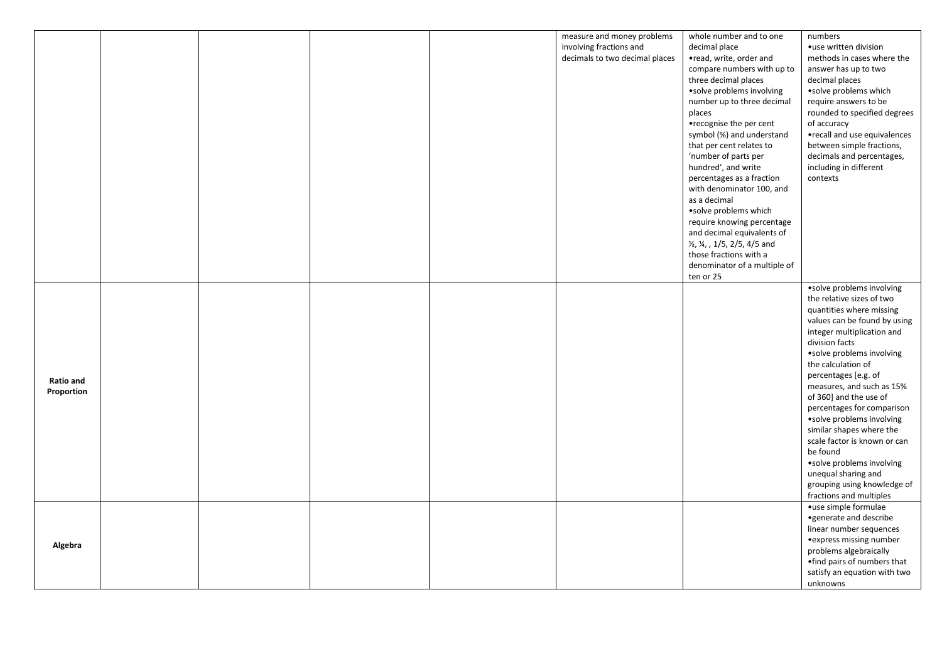|                  |  |  | measure and money problems     | whole number and to one       | numbers                      |
|------------------|--|--|--------------------------------|-------------------------------|------------------------------|
|                  |  |  | involving fractions and        | decimal place                 | · use written division       |
|                  |  |  | decimals to two decimal places | •read, write, order and       | methods in cases where the   |
|                  |  |  |                                | compare numbers with up to    | answer has up to two         |
|                  |  |  |                                | three decimal places          | decimal places               |
|                  |  |  |                                | • solve problems involving    | •solve problems which        |
|                  |  |  |                                | number up to three decimal    | require answers to be        |
|                  |  |  |                                | places                        | rounded to specified degrees |
|                  |  |  |                                | •recognise the per cent       | of accuracy                  |
|                  |  |  |                                | symbol (%) and understand     | •recall and use equivalences |
|                  |  |  |                                | that per cent relates to      | between simple fractions,    |
|                  |  |  |                                | 'number of parts per          | decimals and percentages,    |
|                  |  |  |                                | hundred', and write           | including in different       |
|                  |  |  |                                | percentages as a fraction     | contexts                     |
|                  |  |  |                                | with denominator 100, and     |                              |
|                  |  |  |                                | as a decimal                  |                              |
|                  |  |  |                                | ·solve problems which         |                              |
|                  |  |  |                                | require knowing percentage    |                              |
|                  |  |  |                                | and decimal equivalents of    |                              |
|                  |  |  |                                | 1/2, 1/4, , 1/5, 2/5, 4/5 and |                              |
|                  |  |  |                                | those fractions with a        |                              |
|                  |  |  |                                | denominator of a multiple of  |                              |
|                  |  |  |                                | ten or 25                     |                              |
|                  |  |  |                                |                               | • solve problems involving   |
|                  |  |  |                                |                               | the relative sizes of two    |
|                  |  |  |                                |                               | quantities where missing     |
|                  |  |  |                                |                               | values can be found by using |
|                  |  |  |                                |                               | integer multiplication and   |
|                  |  |  |                                |                               | division facts               |
|                  |  |  |                                |                               | • solve problems involving   |
|                  |  |  |                                |                               | the calculation of           |
|                  |  |  |                                |                               | percentages [e.g. of         |
| <b>Ratio and</b> |  |  |                                |                               | measures, and such as 15%    |
| Proportion       |  |  |                                |                               | of 360] and the use of       |
|                  |  |  |                                |                               | percentages for comparison   |
|                  |  |  |                                |                               | • solve problems involving   |
|                  |  |  |                                |                               | similar shapes where the     |
|                  |  |  |                                |                               | scale factor is known or can |
|                  |  |  |                                |                               | be found                     |
|                  |  |  |                                |                               | • solve problems involving   |
|                  |  |  |                                |                               | unequal sharing and          |
|                  |  |  |                                |                               | grouping using knowledge of  |
|                  |  |  |                                |                               | fractions and multiples      |
|                  |  |  |                                |                               | •use simple formulae         |
|                  |  |  |                                |                               | • generate and describe      |
|                  |  |  |                                |                               | linear number sequences      |
|                  |  |  |                                |                               | • express missing number     |
| Algebra          |  |  |                                |                               | problems algebraically       |
|                  |  |  |                                |                               | •find pairs of numbers that  |
|                  |  |  |                                |                               | satisfy an equation with two |
|                  |  |  |                                |                               | unknowns                     |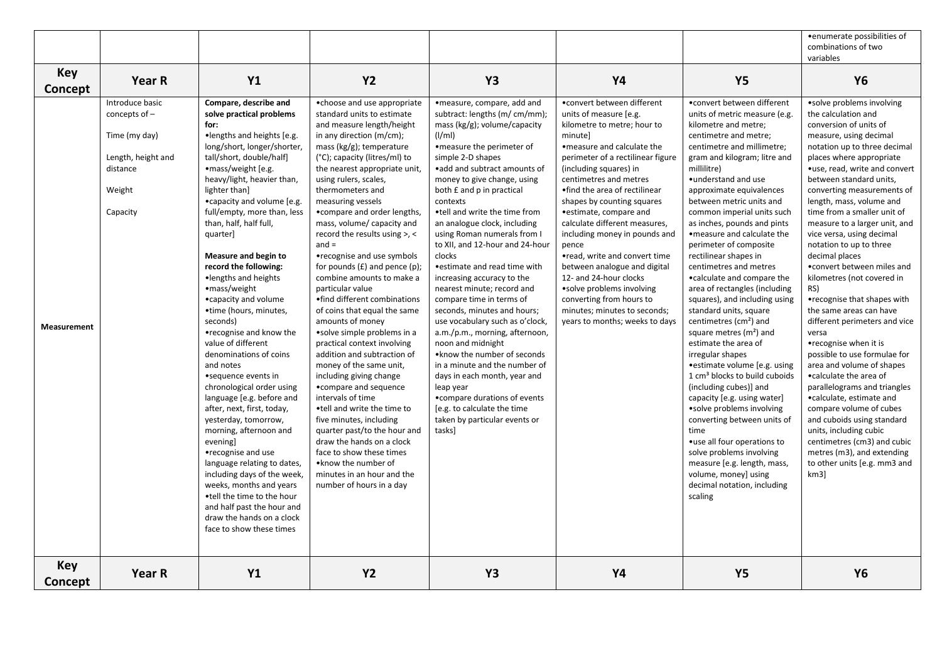|                    |                    |                             |                                    |                                  |                                   |                                           | • enumerate possibilities of  |
|--------------------|--------------------|-----------------------------|------------------------------------|----------------------------------|-----------------------------------|-------------------------------------------|-------------------------------|
|                    |                    |                             |                                    |                                  |                                   |                                           | combinations of two           |
|                    |                    |                             |                                    |                                  |                                   |                                           | variables                     |
| Key                |                    |                             |                                    |                                  |                                   |                                           |                               |
|                    | Year R             | <b>Y1</b>                   | <b>Y2</b>                          | <b>Y3</b>                        | <b>Y4</b>                         | <b>Y5</b>                                 | <b>Y6</b>                     |
| Concept            |                    |                             |                                    |                                  |                                   |                                           |                               |
|                    | Introduce basic    | Compare, describe and       | •choose and use appropriate        | ·measure, compare, add and       | • convert between different       | • convert between different               | ·solve problems involving     |
|                    | concepts of $-$    | solve practical problems    | standard units to estimate         | subtract: lengths (m/ cm/mm);    | units of measure [e.g.            | units of metric measure (e.g.             | the calculation and           |
|                    |                    | for:                        | and measure length/height          | mass ( $kg/g$ ); volume/capacity | kilometre to metre; hour to       | kilometre and metre;                      | conversion of units of        |
|                    | Time (my day)      | •lengths and heights [e.g.  | in any direction (m/cm);           | $\frac{1}{m}$                    | minutel                           | centimetre and metre;                     | measure, using decimal        |
|                    |                    | long/short, longer/shorter, | mass ( $kg/g$ ); temperature       | •measure the perimeter of        | • measure and calculate the       | centimetre and millimetre;                | notation up to three decimal  |
|                    | Length, height and | tall/short, double/half]    | (°C); capacity (litres/ml) to      | simple 2-D shapes                | perimeter of a rectilinear figure | gram and kilogram; litre and              | places where appropriate      |
|                    | distance           | •mass/weight [e.g.          | the nearest appropriate unit,      | • add and subtract amounts of    | (including squares) in            | millilitre)                               | •use, read, write and convert |
|                    |                    | heavy/light, heavier than,  | using rulers, scales,              | money to give change, using      | centimetres and metres            | • understand and use                      | between standard units,       |
|                    | Weight             | lighter than]               | thermometers and                   | both £ and p in practical        | •find the area of rectilinear     | approximate equivalences                  | converting measurements of    |
|                    |                    | • capacity and volume [e.g. | measuring vessels                  | contexts                         | shapes by counting squares        | between metric units and                  | length, mass, volume and      |
|                    | Capacity           | full/empty, more than, less | • compare and order lengths,       | .tell and write the time from    | • estimate, compare and           | common imperial units such                | time from a smaller unit of   |
|                    |                    | than, half, half full,      | mass, volume/ capacity and         | an analogue clock, including     | calculate different measures,     | as inches, pounds and pints               | measure to a larger unit, and |
|                    |                    | quarter]                    | record the results using $>$ , <   | using Roman numerals from I      | including money in pounds and     | • measure and calculate the               | vice versa, using decimal     |
|                    |                    |                             | $and =$                            | to XII, and 12-hour and 24-hour  | pence                             | perimeter of composite                    | notation to up to three       |
|                    |                    | Measure and begin to        | •recognise and use symbols         | clocks                           | •read, write and convert time     | rectilinear shapes in                     | decimal places                |
|                    |                    | record the following:       | for pounds $(E)$ and pence $(p)$ ; | • estimate and read time with    | between analogue and digital      | centimetres and metres                    | . convert between miles and   |
|                    |                    | ·lengths and heights        | combine amounts to make a          | increasing accuracy to the       | 12- and 24-hour clocks            | • calculate and compare the               | kilometres (not covered in    |
|                    |                    | •mass/weight                | particular value                   | nearest minute; record and       | • solve problems involving        | area of rectangles (including             | RS)                           |
|                    |                    | • capacity and volume       | •find different combinations       | compare time in terms of         | converting from hours to          | squares), and including using             | • recognise that shapes with  |
|                    |                    | •time (hours, minutes,      | of coins that equal the same       | seconds, minutes and hours;      | minutes; minutes to seconds;      | standard units, square                    | the same areas can have       |
|                    |                    | seconds)                    | amounts of money                   | use vocabulary such as o'clock,  | years to months; weeks to days    | centimetres (cm <sup>2</sup> ) and        | different perimeters and vice |
| <b>Measurement</b> |                    | •recognise and know the     | • solve simple problems in a       | a.m./p.m., morning, afternoon,   |                                   | square metres $(m2)$ and                  | versa                         |
|                    |                    | value of different          | practical context involving        | noon and midnight                |                                   | estimate the area of                      | •recognise when it is         |
|                    |                    | denominations of coins      | addition and subtraction of        | • know the number of seconds     |                                   | irregular shapes                          | possible to use formulae for  |
|                    |                    | and notes                   | money of the same unit,            | in a minute and the number of    |                                   | • estimate volume [e.g. using             | area and volume of shapes     |
|                    |                    | • sequence events in        | including giving change            | days in each month, year and     |                                   | 1 cm <sup>3</sup> blocks to build cuboids | • calculate the area of       |
|                    |                    | chronological order using   | •compare and sequence              | leap year                        |                                   | (including cubes)] and                    | parallelograms and triangles  |
|                    |                    | language [e.g. before and   | intervals of time                  | • compare durations of events    |                                   | capacity [e.g. using water]               | • calculate, estimate and     |
|                    |                    | after, next, first, today,  | •tell and write the time to        | [e.g. to calculate the time      |                                   | • solve problems involving                | compare volume of cubes       |
|                    |                    | yesterday, tomorrow,        | five minutes, including            | taken by particular events or    |                                   | converting between units of               | and cuboids using standard    |
|                    |                    | morning, afternoon and      | quarter past/to the hour and       | tasks]                           |                                   | time                                      | units, including cubic        |
|                    |                    | evening]                    | draw the hands on a clock          |                                  |                                   | • use all four operations to              | centimetres (cm3) and cubic   |
|                    |                    | •recognise and use          | face to show these times           |                                  |                                   | solve problems involving                  | metres (m3), and extending    |
|                    |                    | language relating to dates, | • know the number of               |                                  |                                   | measure [e.g. length, mass,               | to other units [e.g. mm3 and  |
|                    |                    | including days of the week, | minutes in an hour and the         |                                  |                                   | volume, money] using                      | km3                           |
|                    |                    | weeks, months and years     | number of hours in a day           |                                  |                                   | decimal notation, including               |                               |
|                    |                    | •tell the time to the hour  |                                    |                                  |                                   | scaling                                   |                               |
|                    |                    | and half past the hour and  |                                    |                                  |                                   |                                           |                               |
|                    |                    | draw the hands on a clock   |                                    |                                  |                                   |                                           |                               |
|                    |                    | face to show these times    |                                    |                                  |                                   |                                           |                               |
|                    |                    |                             |                                    |                                  |                                   |                                           |                               |
| Key                |                    |                             |                                    |                                  |                                   |                                           |                               |
|                    | Year R             | <b>Y1</b>                   | <b>Y2</b>                          | <b>Y3</b>                        | <b>Y4</b>                         | <b>Y5</b>                                 | <b>Y6</b>                     |
| Concept            |                    |                             |                                    |                                  |                                   |                                           |                               |